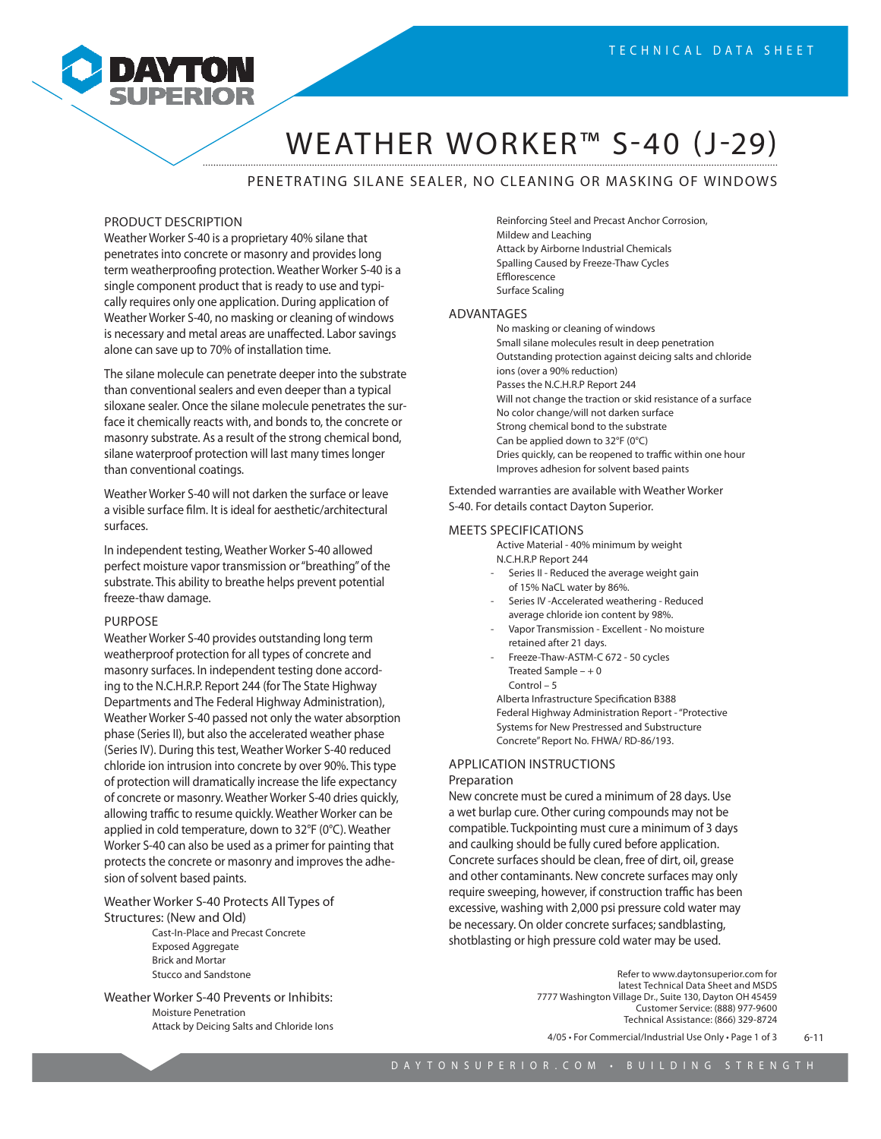

# WEATHER WORKER™ S-40 (J-29)

# PENETRATING SILANE SEALER, NO CLEANING OR MASKING OF WINDOWS

# PRODUCT DESCRIPTION

Weather Worker S-40 is a proprietary 40% silane that penetrates into concrete or masonry and provides long term weatherproofing protection. Weather Worker S-40 is a single component product that is ready to use and typically requires only one application. During application of Weather Worker S-40, no masking or cleaning of windows is necessary and metal areas are unaffected. Labor savings alone can save up to 70% of installation time.

The silane molecule can penetrate deeper into the substrate than conventional sealers and even deeper than a typical siloxane sealer. Once the silane molecule penetrates the surface it chemically reacts with, and bonds to, the concrete or masonry substrate. As a result of the strong chemical bond, silane waterproof protection will last many times longer than conventional coatings.

Weather Worker S-40 will not darken the surface or leave a visible surface film. It is ideal for aesthetic/architectural surfaces.

In independent testing, Weather Worker S-40 allowed perfect moisture vapor transmission or "breathing" of the substrate. This ability to breathe helps prevent potential freeze-thaw damage.

# PURPOSE

Weather Worker S-40 provides outstanding long term weatherproof protection for all types of concrete and masonry surfaces. In independent testing done according to the N.C.H.R.P. Report 244 (for The State Highway Departments and The Federal Highway Administration), Weather Worker S-40 passed not only the water absorption phase (Series II), but also the accelerated weather phase (Series IV). During this test, Weather Worker S-40 reduced chloride ion intrusion into concrete by over 90%. This type of protection will dramatically increase the life expectancy of concrete or masonry. Weather Worker S-40 dries quickly, allowing traffic to resume quickly. Weather Worker can be applied in cold temperature, down to 32°F (0°C). Weather Worker S-40 can also be used as a primer for painting that protects the concrete or masonry and improves the adhesion of solvent based paints.

Weather Worker S-40 Protects All Types of Structures: (New and Old)

> Cast-In-Place and Precast Concrete Exposed Aggregate Brick and Mortar Stucco and Sandstone

Weather Worker S-40 Prevents or Inhibits: Moisture Penetration Attack by Deicing Salts and Chloride Ions

Reinforcing Steel and Precast Anchor Corrosion, Mildew and Leaching Attack by Airborne Industrial Chemicals Spalling Caused by Freeze-Thaw Cycles Efflorescence Surface Scaling

### ADVANTAGES

No masking or cleaning of windows Small silane molecules result in deep penetration Outstanding protection against deicing salts and chloride ions (over a 90% reduction) Passes the N.C.H.R.P Report 244 Will not change the traction or skid resistance of a surface No color change/will not darken surface Strong chemical bond to the substrate Can be applied down to 32°F (0°C) Dries quickly, can be reopened to traffic within one hour Improves adhesion for solvent based paints

Extended warranties are available with Weather Worker S-40. For details contact Dayton Superior.

# MEETS SPECIFICATIONS

Active Material - 40% minimum by weight N.C.H.R.P Report 244

- Series II Reduced the average weight gain of 15% NaCL water by 86%.
- Series IV -Accelerated weathering Reduced average chloride ion content by 98%.
- Vapor Transmission Excellent No moisture retained after 21 days.
- Freeze-Thaw-ASTM-C 672 50 cycles Treated Sample – + 0 Control – 5
- Alberta Infrastructure Specification B388 Federal Highway Administration Report - "Protective Systems for New Prestressed and Substructure Concrete" Report No. FHWA/ RD-86/193.

# APPLICATION INSTRUCTIONS

# Preparation

New concrete must be cured a minimum of 28 days. Use a wet burlap cure. Other curing compounds may not be compatible. Tuckpointing must cure a minimum of 3 days and caulking should be fully cured before application. Concrete surfaces should be clean, free of dirt, oil, grease and other contaminants. New concrete surfaces may only require sweeping, however, if construction traffic has been excessive, washing with 2,000 psi pressure cold water may be necessary. On older concrete surfaces; sandblasting, shotblasting or high pressure cold water may be used.

> Refer to www.daytonsuperior.com for latest Technical Data Sheet and MSDS 7777 Washington Village Dr., Suite 130, Dayton OH 45459 Customer Service: (888) 977-9600 Technical Assistance: (866) 329-8724

4/05 • For Commercial/Industrial Use Only • Page 1 of 3 6-11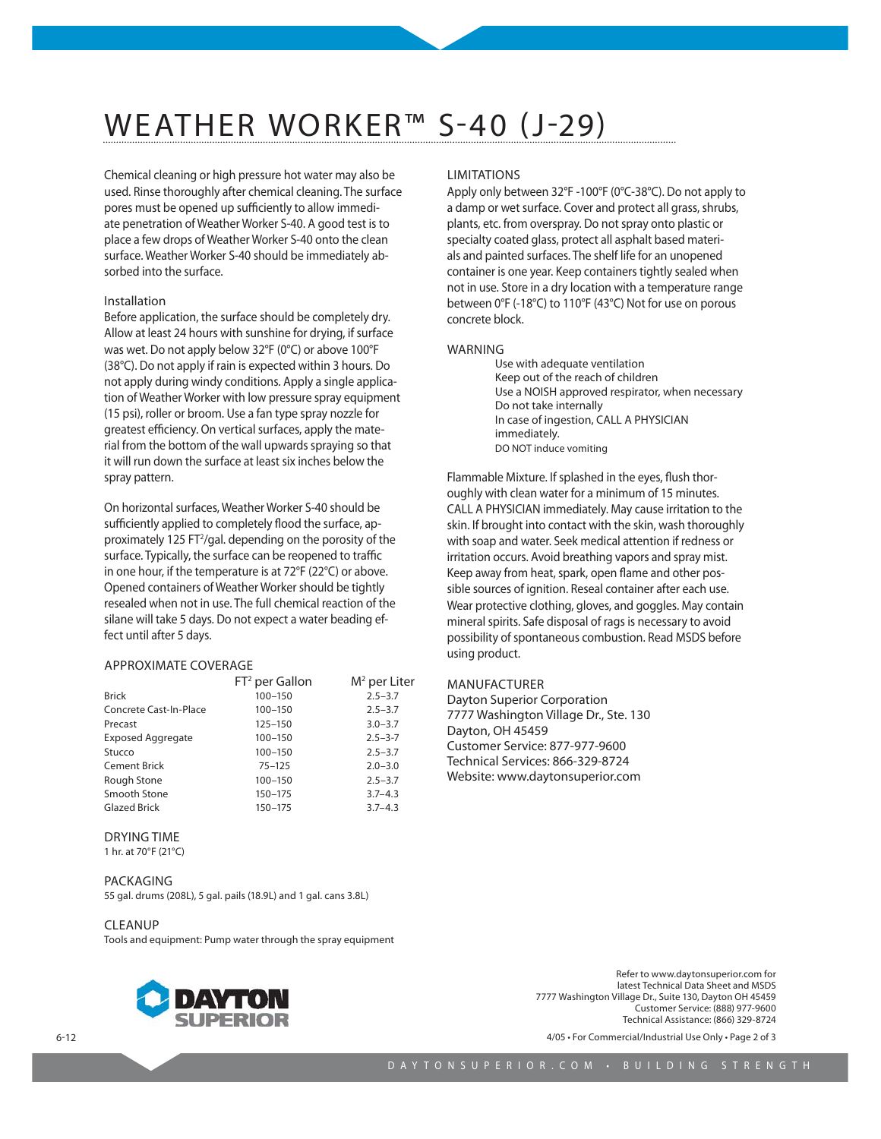# WEATHER WORKER™ S-40 (J-29)

Chemical cleaning or high pressure hot water may also be used. Rinse thoroughly after chemical cleaning. The surface pores must be opened up sufficiently to allow immediate penetration of Weather Worker S-40. A good test is to place a few drops of Weather Worker S-40 onto the clean surface. Weather Worker S-40 should be immediately absorbed into the surface.

# Installation

Before application, the surface should be completely dry. Allow at least 24 hours with sunshine for drying, if surface was wet. Do not apply below 32°F (0°C) or above 100°F (38°C). Do not apply if rain is expected within 3 hours. Do not apply during windy conditions. Apply a single application of Weather Worker with low pressure spray equipment (15 psi), roller or broom. Use a fan type spray nozzle for greatest efficiency. On vertical surfaces, apply the material from the bottom of the wall upwards spraying so that it will run down the surface at least six inches below the spray pattern.

On horizontal surfaces, Weather Worker S-40 should be sufficiently applied to completely flood the surface, approximately 125 FT<sup>2</sup>/gal. depending on the porosity of the surface. Typically, the surface can be reopened to traffic in one hour, if the temperature is at 72°F (22°C) or above. Opened containers of Weather Worker should be tightly resealed when not in use. The full chemical reaction of the silane will take 5 days. Do not expect a water beading effect until after 5 days.

# APPROXIMATE COVERAGE

|                          | $FT2$ per Gallon | $M2$ per Liter |
|--------------------------|------------------|----------------|
| <b>Brick</b>             | $100 - 150$      | $2.5 - 3.7$    |
| Concrete Cast-In-Place   | $100 - 150$      | $2.5 - 3.7$    |
| Precast                  | $125 - 150$      | $3.0 - 3.7$    |
| <b>Exposed Aggregate</b> | $100 - 150$      | $2.5 - 3 - 7$  |
| Stucco                   | $100 - 150$      | $2.5 - 3.7$    |
| <b>Cement Brick</b>      | $75 - 125$       | $2.0 - 3.0$    |
| Rough Stone              | $100 - 150$      | $2.5 - 3.7$    |
| Smooth Stone             | $150 - 175$      | $3.7 - 4.3$    |
| <b>Glazed Brick</b>      | 150-175          | $3.7 - 4.3$    |

# DRYING TIME

1 hr. at 70°F (21°C)

# PACKAGING

55 gal. drums (208L), 5 gal. pails (18.9L) and 1 gal. cans 3.8L)

# CLEANUP

Tools and equipment: Pump water through the spray equipment



# LIMITATIONS

Apply only between 32°F -100°F (0°C-38°C). Do not apply to a damp or wet surface. Cover and protect all grass, shrubs, plants, etc. from overspray. Do not spray onto plastic or specialty coated glass, protect all asphalt based materials and painted surfaces. The shelf life for an unopened container is one year. Keep containers tightly sealed when not in use. Store in a dry location with a temperature range between 0°F (-18°C) to 110°F (43°C) Not for use on porous concrete block.

#### WARNING

Use with adequate ventilation Keep out of the reach of children Use a NOISH approved respirator, when necessary Do not take internally In case of ingestion, CALL A PHYSICIAN immediately. DO NOT induce vomiting

Flammable Mixture. If splashed in the eyes, flush thoroughly with clean water for a minimum of 15 minutes. CALL A PHYSICIAN immediately. May cause irritation to the skin. If brought into contact with the skin, wash thoroughly with soap and water. Seek medical attention if redness or irritation occurs. Avoid breathing vapors and spray mist. Keep away from heat, spark, open flame and other possible sources of ignition. Reseal container after each use. Wear protective clothing, gloves, and goggles. May contain mineral spirits. Safe disposal of rags is necessary to avoid possibility of spontaneous combustion. Read MSDS before using product.

### MANUFACTURER

Dayton Superior Corporation 7777 Washington Village Dr., Ste. 130 Dayton, OH 45459 Customer Service: 877-977-9600 Technical Services: 866-329-8724 Website: www.daytonsuperior.com

> Refer to www.daytonsuperior.com for latest Technical Data Sheet and MSDS 7777 Washington Village Dr., Suite 130, Dayton OH 45459 Customer Service: (888) 977-9600 Technical Assistance: (866) 329-8724

4/05 • For Commercial/Industrial Use Only • Page 2 of 3